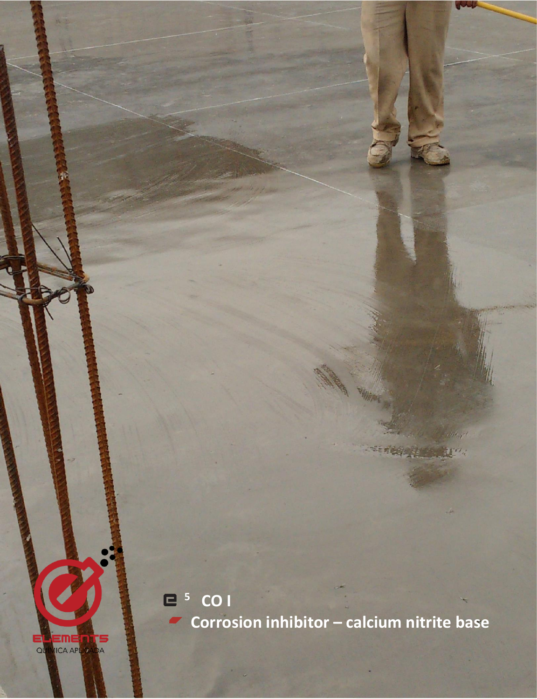**<sup>5</sup> CO I Corrosion inhibitor – calcium nitrite base**

EME  $Q<sub>0</sub>$ **ICA APLICA** DA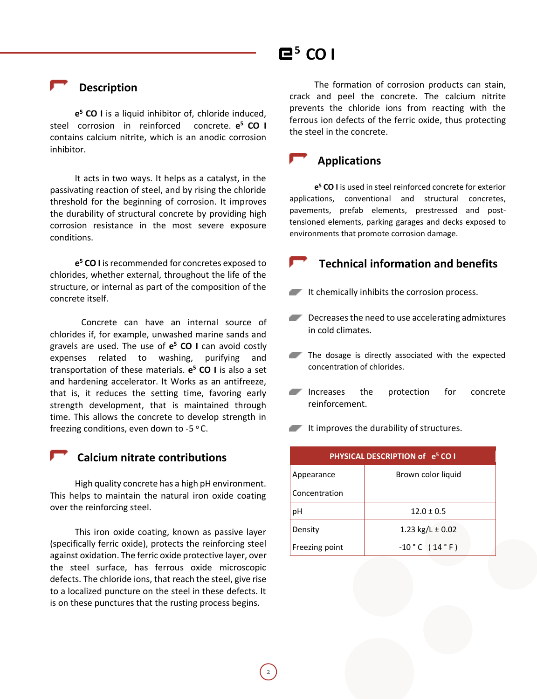## $E^5$  CO **I**

 **Description**

**e <sup>5</sup> CO I** is a liquid inhibitor of, chloride induced, steel corrosion in reinforced concrete. **e <sup>5</sup> CO I**  contains calcium nitrite, which is an anodic corrosion inhibitor.

It acts in two ways. It helps as a catalyst, in the passivating reaction of steel, and by rising the chloride threshold for the beginning of corrosion. It improves the durability of structural concrete by providing high corrosion resistance in the most severe exposure conditions.

**e <sup>5</sup> CO I** is recommended for concretes exposed to chlorides, whether external, throughout the life of the structure, or internal as part of the composition of the concrete itself.

Concrete can have an internal source of chlorides if, for example, unwashed marine sands and gravels are used. The use of **e <sup>5</sup> CO I** can avoid costly expenses related to washing, purifying and transportation of these materials. **e <sup>5</sup> CO I** is also a set and hardening accelerator. It Works as an antifreeze, that is, it reduces the setting time, favoring early strength development, that is maintained through time. This allows the concrete to develop strength in freezing conditions, even down to -5  $\degree$ C.

### **Calcium nitrate contributions**

High quality concrete has a high pH environment. This helps to maintain the natural iron oxide coating over the reinforcing steel.

This iron oxide coating, known as passive layer (specifically ferric oxide), protects the reinforcing steel against oxidation. The ferric oxide protective layer, over the steel surface, has ferrous oxide microscopic defects. The chloride ions, that reach the steel, give rise to a localized puncture on the steel in these defects. It is on these punctures that the rusting process begins.

The formation of corrosion products can stain, crack and peel the concrete. The calcium nitrite prevents the chloride ions from reacting with the ferrous ion defects of the ferric oxide, thus protecting the steel in the concrete.

### **Applications**

**e <sup>5</sup> CO I** is used in steel reinforced concrete for exterior applications, conventional and structural concretes, pavements, prefab elements, prestressed and posttensioned elements, parking garages and decks exposed to environments that promote corrosion damage.

### **Technical information and benefits**

- $I$  It chemically inhibits the corrosion process.
- Decreases the need to use accelerating admixtures in cold climates.
- The dosage is directly associated with the expected concentration of chlorides.
- Increases the protection for concrete reinforcement.

 $\blacksquare$  It improves the durability of structures.

| PHYSICAL DESCRIPTION of e <sup>5</sup> CO I |                      |
|---------------------------------------------|----------------------|
| Appearance                                  | Brown color liquid   |
| Concentration                               |                      |
| рH                                          | $12.0 \pm 0.5$       |
| Density                                     | 1.23 kg/L $\pm$ 0.02 |
| Freezing point                              | $-10$ ° C (14 ° F)   |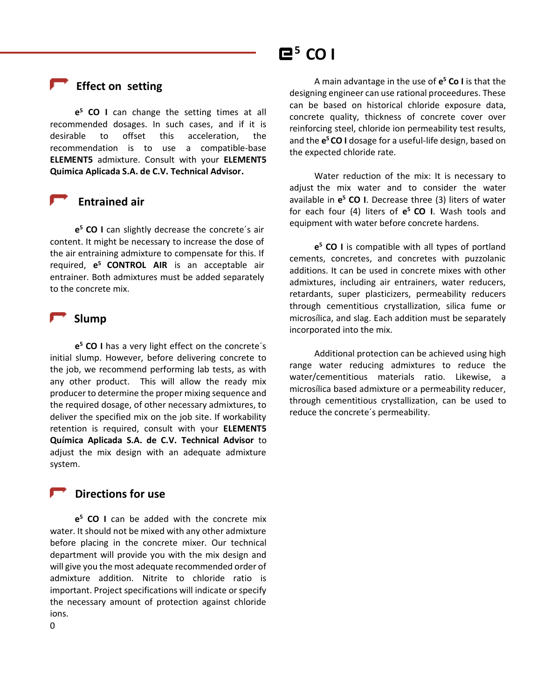### **Effect on setting**

**e <sup>5</sup> CO I** can change the setting times at all recommended dosages. In such cases, and if it is desirable to offset this acceleration, the recommendation is to use a compatible-base **ELEMENT5** admixture. Consult with your **ELEMENT5 Quimica Aplicada S.A. de C.V. Technical Advisor.**

### **Entrained air**

**e <sup>5</sup> CO I** can slightly decrease the concrete´s air content. It might be necessary to increase the dose of the air entraining admixture to compensate for this. If required, **e <sup>5</sup>CONTROL AIR** is an acceptable air entrainer. Both admixtures must be added separately to the concrete mix.

#### **Slump**

**e <sup>5</sup> CO I** has a very light effect on the concrete´s initial slump. However, before delivering concrete to the job, we recommend performing lab tests, as with any other product. This will allow the ready mix producer to determine the proper mixing sequence and the required dosage, of other necessary admixtures, to deliver the specified mix on the job site. If workability retention is required, consult with your **ELEMENT5 Química Aplicada S.A. de C.V. Technical Advisor** to adjust the mix design with an adequate admixture system.

### **Directions for use**

**e <sup>5</sup> CO I** can be added with the concrete mix water. It should not be mixed with any other admixture before placing in the concrete mixer. Our technical department will provide you with the mix design and will give you the most adequate recommended order of admixture addition. Nitrite to chloride ratio is important. Project specifications will indicate or specify the necessary amount of protection against chloride ions.

## $E^5$  CO **I**

A main advantage in the use of **e <sup>5</sup> Co I** is that the designing engineer can use rational proceedures. These can be based on historical chloride exposure data, concrete quality, thickness of concrete cover over reinforcing steel, chloride ion permeability test results, and the **e <sup>5</sup>CO I** dosage for a useful-life design, based on the expected chloride rate.

Water reduction of the mix: It is necessary to adjust the mix water and to consider the water available in **e <sup>5</sup> CO I**. Decrease three (3) liters of water for each four (4) liters of **e <sup>5</sup>CO I**. Wash tools and equipment with water before concrete hardens.

**e <sup>5</sup> CO I** is compatible with all types of portland cements, concretes, and concretes with puzzolanic additions. It can be used in concrete mixes with other admixtures, including air entrainers, water reducers, retardants, super plasticizers, permeability reducers through cementitious crystallization, silica fume or microsílica, and slag. Each addition must be separately incorporated into the mix.

Additional protection can be achieved using high range water reducing admixtures to reduce the water/cementitious materials ratio. Likewise, a microsílica based admixture or a permeability reducer, through cementitious crystallization, can be used to reduce the concrete´s permeability.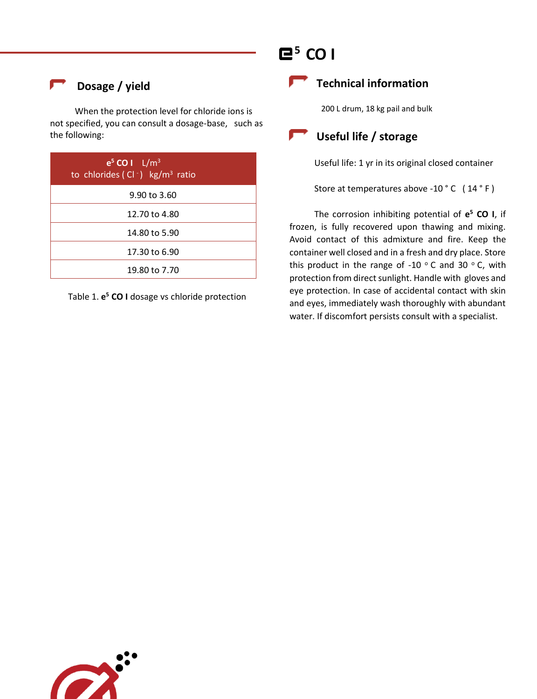## **Dosage / yield**

When the protection level for chloride ions is not specified, you can consult a dosage-base, such as the following:

| $e^5$ CO I $L/m^3$<br>to chlorides (Cl $\cdot$ ) kg/m <sup>3</sup> ratio |  |
|--------------------------------------------------------------------------|--|
| 9.90 to 3.60                                                             |  |
| 12.70 to 4.80                                                            |  |
| 14.80 to 5.90                                                            |  |
| 17.30 to 6.90                                                            |  |
| 19.80 to 7.70                                                            |  |

Table 1. **e <sup>5</sup> CO I** dosage vs chloride protection

# $E^5$  CO I

## **Technical information**

200 L drum, 18 kg pail and bulk

## **Useful life / storage**

Useful life: 1 yr in its original closed container

Store at temperatures above -10 °C (14 °F)

The corrosion inhibiting potential of **e <sup>5</sup> CO I**, if frozen, is fully recovered upon thawing and mixing. Avoid contact of this admixture and fire. Keep the container well closed and in a fresh and dry place. Store this product in the range of -10  $\degree$  C and 30  $\degree$  C, with protection from direct sunlight. Handle with gloves and eye protection. In case of accidental contact with skin and eyes, immediately wash thoroughly with abundant water. If discomfort persists consult with a specialist.